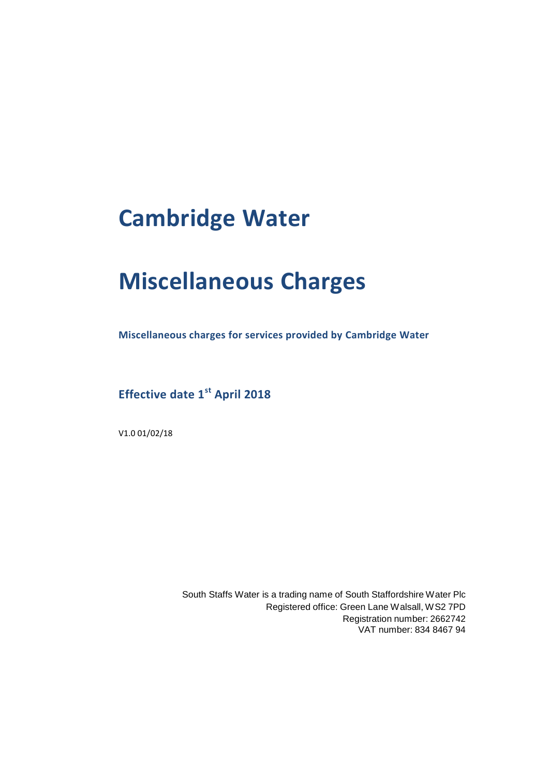# **Cambridge Water**

# **Miscellaneous Charges**

**Miscellaneous charges for services provided by Cambridge Water** 

**Effective date 1st April 2018**

V1.0 01/02/18

South Staffs Water is a trading name of South Staffordshire Water Plc Registered office: Green Lane Walsall, WS2 7PD Registration number: 2662742 VAT number: 834 8467 94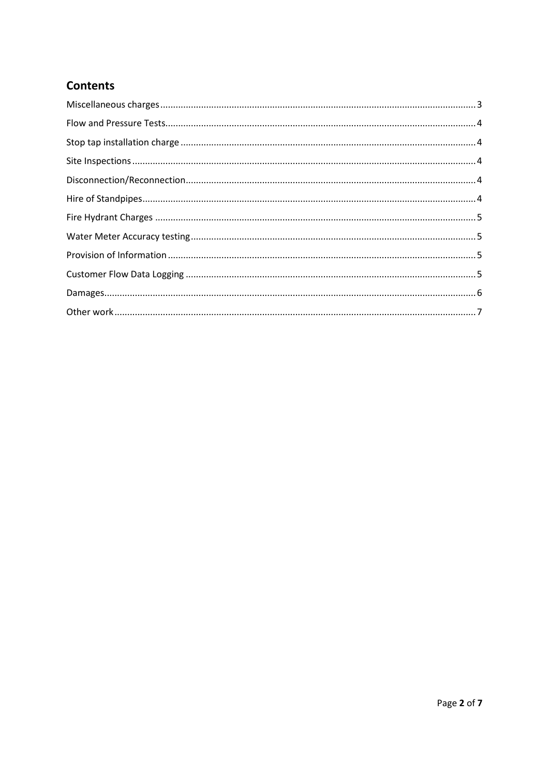#### **Contents**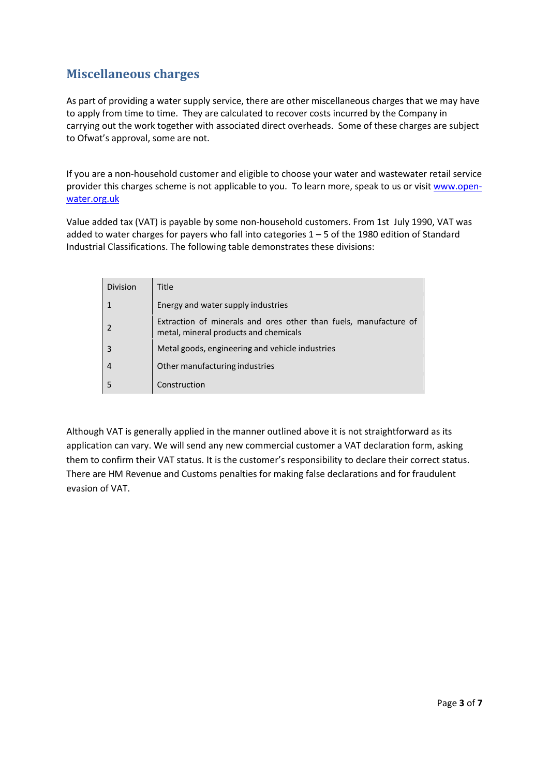#### <span id="page-2-0"></span>**Miscellaneous charges**

As part of providing a water supply service, there are other miscellaneous charges that we may have to apply from time to time. They are calculated to recover costs incurred by the Company in carrying out the work together with associated direct overheads. Some of these charges are subject to Ofwat's approval, some are not.

If you are a non-household customer and eligible to choose your water and wastewater retail service provider this charges scheme is not applicable to you. To learn more, speak to us or visit [www.open](http://www.open-water.org.uk/)[water.org.uk](http://www.open-water.org.uk/)

Value added tax (VAT) is payable by some non-household customers. From 1st July 1990, VAT was added to water charges for payers who fall into categories 1 – 5 of the 1980 edition of Standard Industrial Classifications. The following table demonstrates these divisions:

| Division                 | <b>Title</b>                                                                                              |
|--------------------------|-----------------------------------------------------------------------------------------------------------|
|                          | Energy and water supply industries                                                                        |
| $\overline{\phantom{a}}$ | Extraction of minerals and ores other than fuels, manufacture of<br>metal, mineral products and chemicals |
| 3                        | Metal goods, engineering and vehicle industries                                                           |
| 4                        | Other manufacturing industries                                                                            |
| 5                        | Construction                                                                                              |

Although VAT is generally applied in the manner outlined above it is not straightforward as its application can vary. We will send any new commercial customer a VAT declaration form, asking them to confirm their VAT status. It is the customer's responsibility to declare their correct status. There are HM Revenue and Customs penalties for making false declarations and for fraudulent evasion of VAT.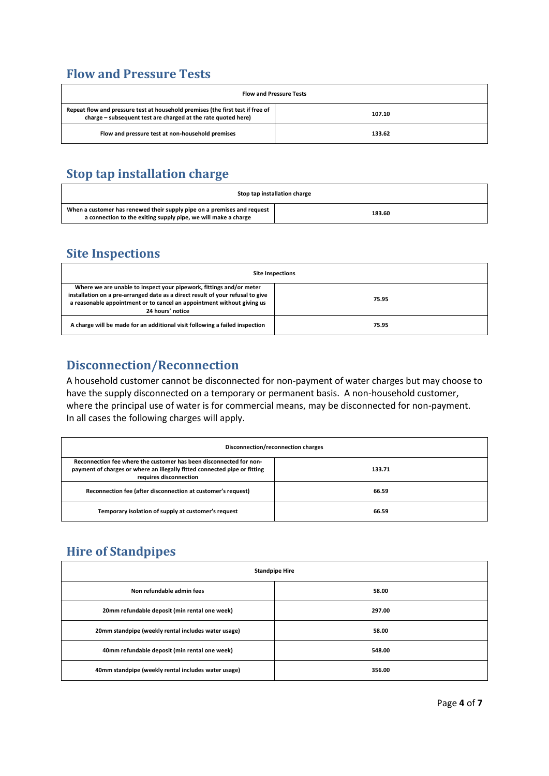### <span id="page-3-0"></span>**Flow and Pressure Tests**

| <b>Flow and Pressure Tests</b>                                                                                                                  |        |
|-------------------------------------------------------------------------------------------------------------------------------------------------|--------|
| Repeat flow and pressure test at household premises (the first test if free of<br>charge – subsequent test are charged at the rate quoted here) | 107.10 |
| Flow and pressure test at non-household premises                                                                                                | 133.62 |

# <span id="page-3-1"></span>**Stop tap installation charge**

| Stop tap installation charge                                                                                                              |        |
|-------------------------------------------------------------------------------------------------------------------------------------------|--------|
| When a customer has renewed their supply pipe on a premises and request<br>a connection to the exiting supply pipe, we will make a charge | 183.60 |

#### <span id="page-3-2"></span>**Site Inspections**

| <b>Site Inspections</b>                                                                                                                                                                                                                             |       |
|-----------------------------------------------------------------------------------------------------------------------------------------------------------------------------------------------------------------------------------------------------|-------|
| Where we are unable to inspect your pipework, fittings and/or meter<br>installation on a pre-arranged date as a direct result of your refusal to give<br>a reasonable appointment or to cancel an appointment without giving us<br>24 hours' notice | 75.95 |
| A charge will be made for an additional visit following a failed inspection                                                                                                                                                                         | 75.95 |

#### <span id="page-3-3"></span>**Disconnection/Reconnection**

A household customer cannot be disconnected for non-payment of water charges but may choose to have the supply disconnected on a temporary or permanent basis. A non-household customer, where the principal use of water is for commercial means, may be disconnected for non-payment. In all cases the following charges will apply.

| Disconnection/reconnection charges                                                                                                                                        |        |
|---------------------------------------------------------------------------------------------------------------------------------------------------------------------------|--------|
| Reconnection fee where the customer has been disconnected for non-<br>payment of charges or where an illegally fitted connected pipe or fitting<br>requires disconnection | 133.71 |
| Reconnection fee (after disconnection at customer's request)                                                                                                              | 66.59  |
| Temporary isolation of supply at customer's request                                                                                                                       | 66.59  |

# <span id="page-3-4"></span>**Hire of Standpipes**

| <b>Standpipe Hire</b>                               |        |
|-----------------------------------------------------|--------|
| Non refundable admin fees                           | 58.00  |
| 20mm refundable deposit (min rental one week)       | 297.00 |
| 20mm standpipe (weekly rental includes water usage) | 58.00  |
| 40mm refundable deposit (min rental one week)       | 548.00 |
| 40mm standpipe (weekly rental includes water usage) | 356.00 |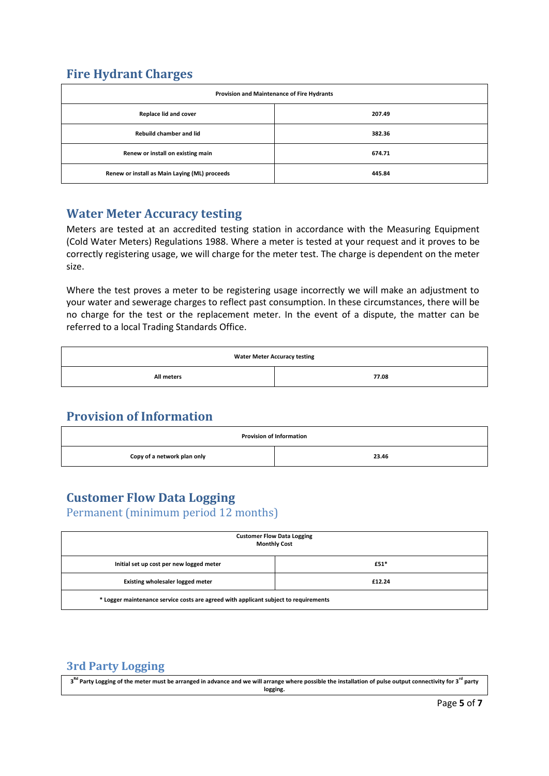#### <span id="page-4-0"></span>**Fire Hydrant Charges**

| Provision and Maintenance of Fire Hydrants    |        |
|-----------------------------------------------|--------|
| Replace lid and cover                         | 207.49 |
| <b>Rebuild chamber and lid</b>                | 382.36 |
| Renew or install on existing main             | 674.71 |
| Renew or install as Main Laying (ML) proceeds | 445.84 |

#### <span id="page-4-1"></span>**Water Meter Accuracy testing**

Meters are tested at an accredited testing station in accordance with the Measuring Equipment (Cold Water Meters) Regulations 1988. Where a meter is tested at your request and it proves to be correctly registering usage, we will charge for the meter test. The charge is dependent on the meter size.

Where the test proves a meter to be registering usage incorrectly we will make an adjustment to your water and sewerage charges to reflect past consumption. In these circumstances, there will be no charge for the test or the replacement meter. In the event of a dispute, the matter can be referred to a local Trading Standards Office.

| <b>Water Meter Accuracy testing</b> |       |  |
|-------------------------------------|-------|--|
| All meters                          | 77.08 |  |

#### <span id="page-4-2"></span>**Provision of Information**

| <b>Provision of Information</b> |       |
|---------------------------------|-------|
| Copy of a network plan only     | 23.46 |

### <span id="page-4-3"></span>**Customer Flow Data Logging**

Permanent (minimum period 12 months)

| <b>Customer Flow Data Logging</b><br><b>Monthly Cost</b>                             |        |  |
|--------------------------------------------------------------------------------------|--------|--|
| Initial set up cost per new logged meter                                             | £51*   |  |
| Existing wholesaler logged meter                                                     | £12.24 |  |
| * Logger maintenance service costs are agreed with applicant subject to requirements |        |  |

#### **3rd Party Logging**

**3 Rd Party Logging of the meter must be arranged in advance and we will arrange where possible the installation of pulse output connectivity for 3rd party logging.**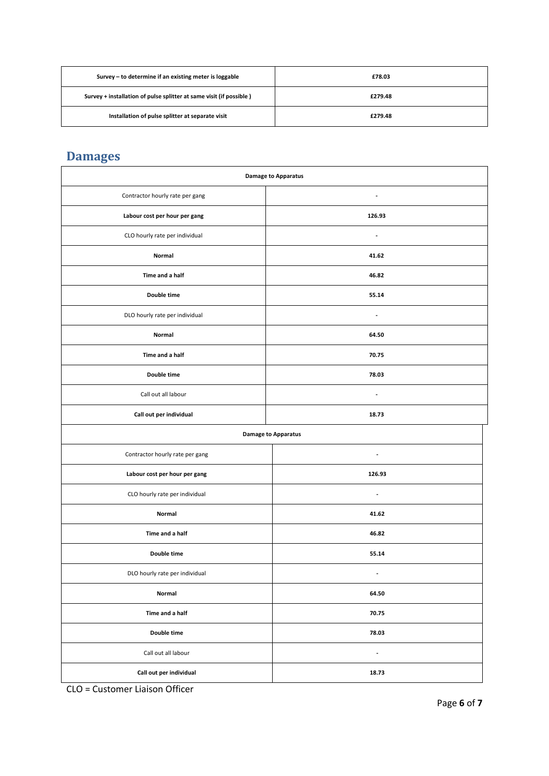| Survey – to determine if an existing meter is loggable              | £78.03  |
|---------------------------------------------------------------------|---------|
| Survey + installation of pulse splitter at same visit (if possible) | £279.48 |
| Installation of pulse splitter at separate visit                    | £279.48 |

# <span id="page-5-0"></span>**Damages**

| <b>Damage to Apparatus</b>      |                          |
|---------------------------------|--------------------------|
| Contractor hourly rate per gang | $\overline{\phantom{a}}$ |
| Labour cost per hour per gang   | 126.93                   |
| CLO hourly rate per individual  | $\blacksquare$           |
| Normal                          | 41.62                    |
| Time and a half                 | 46.82                    |
| Double time                     | 55.14                    |
| DLO hourly rate per individual  | $\blacksquare$           |
| Normal                          | 64.50                    |
| Time and a half                 | 70.75                    |
| Double time                     | 78.03                    |
| Call out all labour             | $\overline{a}$           |
| Call out per individual         | 18.73                    |
| <b>Damage to Apparatus</b>      |                          |
| Contractor hourly rate per gang | $\overline{\phantom{a}}$ |
| Labour cost per hour per gang   | 126.93                   |
| CLO hourly rate per individual  | $\overline{\phantom{a}}$ |
| Normal                          | 41.62                    |
| Time and a half                 | 46.82                    |
| Double time                     | 55.14                    |
| DLO hourly rate per individual  | $\overline{\phantom{a}}$ |
| Normal                          | 64.50                    |
| Time and a half                 | 70.75                    |
| Double time                     | 78.03                    |
| Call out all labour             | $\blacksquare$           |
| Call out per individual         | 18.73                    |

CLO = Customer Liaison Officer